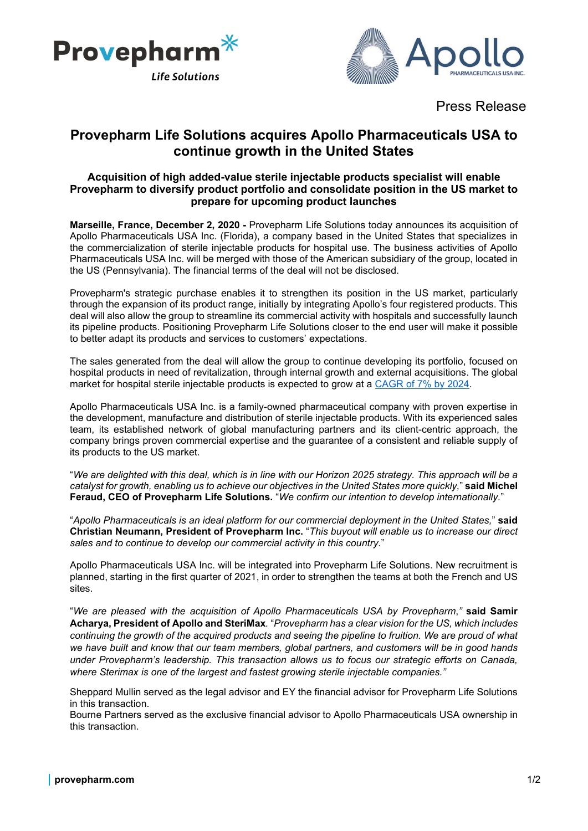



Press Release

# **Provepharm Life Solutions acquires Apollo Pharmaceuticals USA to continue growth in the United States**

## **Acquisition of high added-value sterile injectable products specialist will enable Provepharm to diversify product portfolio and consolidate position in the US market to prepare for upcoming product launches**

**Marseille, France, December 2, 2020 -** Provepharm Life Solutions today announces its acquisition of Apollo Pharmaceuticals USA Inc. (Florida), a company based in the United States that specializes in the commercialization of sterile injectable products for hospital use. The business activities of Apollo Pharmaceuticals USA Inc. will be merged with those of the American subsidiary of the group, located in the US (Pennsylvania). The financial terms of the deal will not be disclosed.

Provepharm's strategic purchase enables it to strengthen its position in the US market, particularly through the expansion of its product range, initially by integrating Apollo's four registered products. This deal will also allow the group to streamline its commercial activity with hospitals and successfully launch its pipeline products. Positioning Provepharm Life Solutions closer to the end user will make it possible to better adapt its products and services to customers' expectations.

The sales generated from the deal will allow the group to continue developing its portfolio, focused on hospital products in need of revitalization, through internal growth and external acquisitions. The global market for hospital sterile injectable products is expected to grow at a [CAGR of 7% by 2024.](https://www.fortunebusinessinsights.com/industry-reports/injectable-drug-delivery-market-101044)

Apollo Pharmaceuticals USA Inc. is a family-owned pharmaceutical company with proven expertise in the development, manufacture and distribution of sterile injectable products. With its experienced sales team, its established network of global manufacturing partners and its client-centric approach, the company brings proven commercial expertise and the guarantee of a consistent and reliable supply of its products to the US market.

"*We are delighted with this deal, which is in line with our Horizon 2025 strategy. This approach will be a catalyst for growth, enabling us to achieve our objectives in the United States more quickly,*" **said Michel Feraud, CEO of Provepharm Life Solutions.** "*We confirm our intention to develop internationally.*"

"*Apollo Pharmaceuticals is an ideal platform for our commercial deployment in the United States,*" **said Christian Neumann, President of Provepharm Inc.** "*This buyout will enable us to increase our direct sales and to continue to develop our commercial activity in this country.*"

Apollo Pharmaceuticals USA Inc. will be integrated into Provepharm Life Solutions. New recruitment is planned, starting in the first quarter of 2021, in order to strengthen the teams at both the French and US sites.

"*We are pleased with the acquisition of Apollo Pharmaceuticals USA by Provepharm*,*"* **said Samir Acharya, President of Apollo and SteriMax***.* "*Provepharm has a clear vision for the US, which includes continuing the growth of the acquired products and seeing the pipeline to fruition. We are proud of what we have built and know that our team members, global partners, and customers will be in good hands under Provepharm's leadership. This transaction allows us to focus our strategic efforts on Canada, where Sterimax is one of the largest and fastest growing sterile injectable companies."*

Sheppard Mullin served as the legal advisor and EY the financial advisor for Provepharm Life Solutions in this transaction.

Bourne Partners served as the exclusive financial advisor to Apollo Pharmaceuticals USA ownership in this transaction.